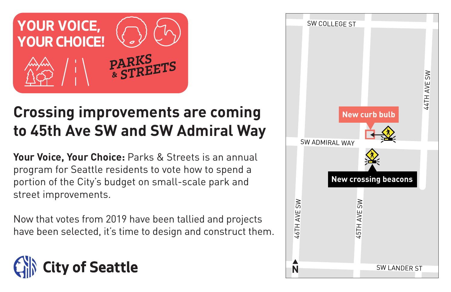

# **Crossing improvements are coming to 45th Ave SW and SW Admiral Way**

**Your Voice, Your Choice:** Parks & Streets is an annual program for Seattle residents to vote how to spend a portion of the City's budget on small-scale park and street improvements.

Now that votes from 2019 have been tallied and projects have been selected, it's time to design and construct them.



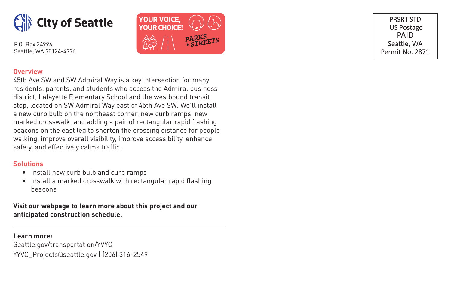



PRSRT STD **US Postage** PAID Seattle, WA Permit No. 2871

#### **Overview**

45th Ave SW and SW Admiral Way is a key intersection for many residents, parents, and students who access the Admiral business district, Lafayette Elementary School and the westbound transit stop, located on SW Admiral Way east of 45th Ave SW. We'll install a new curb bulb on the northeast corner, new curb ramps, new marked crosswalk, and adding a pair of rectangular rapid flashing beacons on the east leg to shorten the crossing distance for people walking, improve overall visibility, improve accessibility, enhance safety, and effectively calms traffic.

### **Solutions**

- Install new curb bulb and curb ramps
- Install a marked crosswalk with rectangular rapid flashing beacons

## **Visit our webpage to learn more about this project and our anticipated construction schedule.**

**Learn more:** Seattle.gov/transportation/YVYC YYVC\_Projects@seattle.gov | (206) 316-2549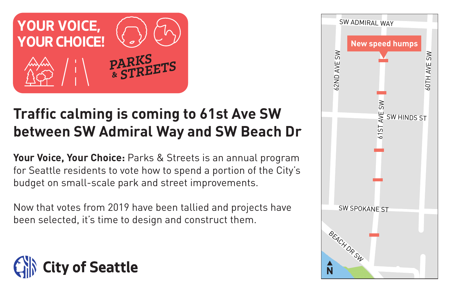

# **Traffic calming is coming to 61st Ave SW between SW Admiral Way and SW Beach Dr**

**Your Voice, Your Choice:** Parks & Streets is an annual program for Seattle residents to vote how to spend a portion of the City's budget on small-scale park and street improvements.

Now that votes from 2019 have been tallied and projects have been selected, it's time to design and construct them.



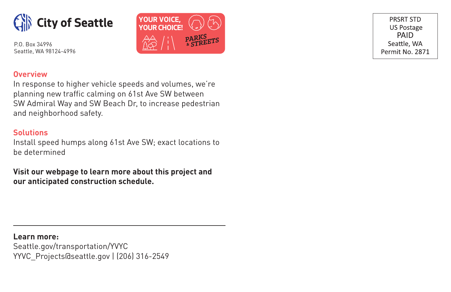



PRSRT STD **US Postage** PAID Seattle, WA Permit No. 2871

# **Overview**

In response to higher vehicle speeds and volumes, we're planning new traffic calming on 61st Ave SW between SW Admiral Way and SW Beach Dr, to increase pedestrian and neighborhood safety.

## **Solutions**

Install speed humps along 61st Ave SW; exact locations to be determined

**Visit our webpage to learn more about this project and our anticipated construction schedule.**

**Learn more:** Seattle.gov/transportation/YVYC YYVC\_Projects@seattle.gov | (206) 316-2549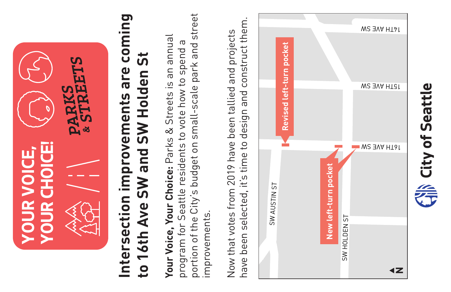

# **Intersection improvements are coming**  Intersection improvements are coming to 16th Ave SW and SW Holden St **to 16th Ave SW and SW Holden St**

portion of the City's budget on small-scale park and street portion of the City's budget on small-scale park and street **Your Voice, Your Choice:** Parks & Streets is an annual Your Voice, Your Choice: Parks & Streets is an annual program for Seattle residents to vote how to spend a program for Seattle residents to vote how to spend a improvements. improvements.

have been selected, it's time to design and construct them. have been selected, it's time to design and construct them. Now that votes from 2019 have been tallied and projects Now that votes from 2019 have been tallied and projects



City of Seattle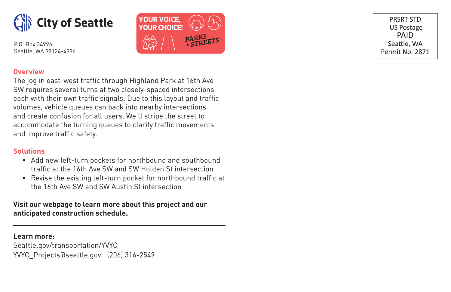



PRSRT STD **US Postage PAID** Seattle, WA Permit No. 2871

### **Overview**

The jog in east-west traffic through Highland Park at 16th Ave SW requires several turns at two closely-spaced intersections each with their own traffic signals. Due to this layout and traffic volumes, vehicle queues can back into nearby intersections and create confusion for all users. We'll stripe the street to accommodate the turning queues to clarify traffic movements and improve traffic safety.

### **Solutions**

- Add new left-turn pockets for northbound and southbound traffic at the 16th Ave SW and SW Holden St intersection
- Revise the existing left-turn pocket for northbound traffic at the 16th Ave SW and SW Austin St intersection

# **Visit our webpage to learn more about this project and our anticipated construction schedule.**

**Learn more:** Seattle.gov/transportation/YVYC YVYC\_Projects@seattle.gov | (206) 316-2549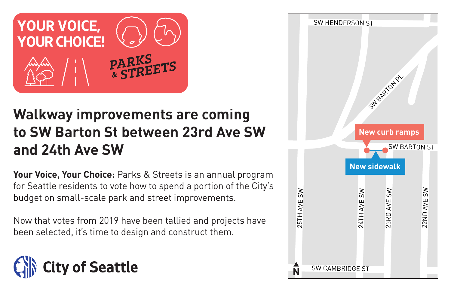

# **Walkway improvements are coming to SW Barton St between 23rd Ave SW and 24th Ave SW**

**Your Voice, Your Choice:** Parks & Streets is an annual program for Seattle residents to vote how to spend a portion of the City's budget on small-scale park and street improvements.

Now that votes from 2019 have been tallied and projects have been selected, it's time to design and construct them.